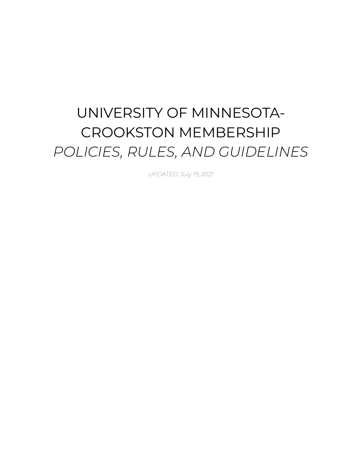# UNIVERSITY OF MINNESOTA-CROOKSTON MEMBERSHIP *POLICIES, RULES, AND GUIDELINES*

*UPDATED: July 19, 2021*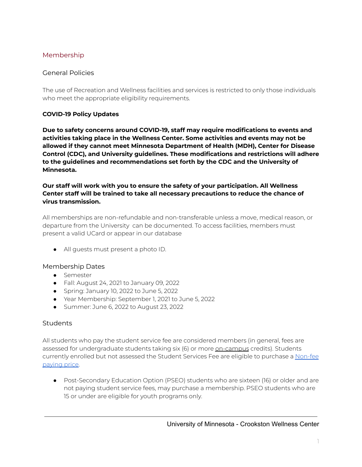## Membership

#### General Policies

The use of Recreation and Wellness facilities and services is restricted to only those individuals who meet the appropriate eligibility requirements.

#### **COVID-19 Policy Updates**

**Due to safety concerns around COVID-19, staff may require modifications to events and activities taking place in the Wellness Center. Some activities and events may not be allowed if they cannot meet Minnesota Department of Health (MDH), Center for Disease Control (CDC), and University guidelines. These modifications and restrictions will adhere to the guidelines and recommendations set forth by the CDC and the University of Minnesota.**

#### **Our staff will work with you to ensure the safety of your participation. All Wellness Center staff will be trained to take all necessary precautions to reduce the chance of virus transmission.**

All memberships are non-refundable and non-transferable unless a move, medical reason, or departure from the University can be documented. To access facilities, members must present a valid UCard or appear in our database

● All guests must present a photo ID.

#### Membership Dates

- Semester
- Fall: August 24, 2021 to January 09, 2022
- Spring: January 10, 2022 to June 5, 2022
- Year Membership: September 1, 2021 to June 5, 2022
- Summer: June 6, 2022 to August 23, 2022

#### Students

All students who pay the student service fee are considered members (in general, fees are assessed for undergraduate students taking six (6) or more on-campus credits). Students currently enrolled but not assessed the Student Services Fee are eligible to purchase a [Non-fee](https://www.crk.umn.edu/units/wellness-recreation) [paying](https://www.crk.umn.edu/units/wellness-recreation) price.

● Post-Secondary Education Option (PSEO) students who are sixteen (16) or older and are not paying student service fees, may purchase a membership. PSEO students who are 15 or under are eligible for youth programs only.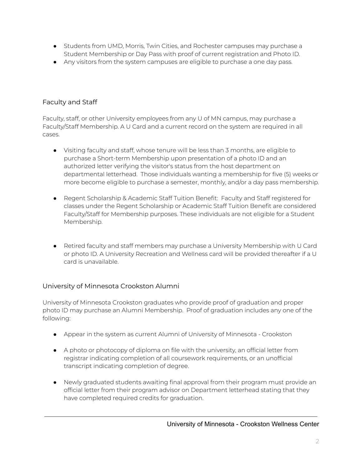- Students from UMD, Morris, Twin Cities, and Rochester campuses may purchase a Student Membership or Day Pass with proof of current registration and Photo ID.
- Any visitors from the system campuses are eligible to purchase a one day pass.

# Faculty and Staff

Faculty, staff, or other University employees from any U of MN campus, may purchase a Faculty/Staff Membership. A U Card and a current record on the system are required in all cases.

- Visiting faculty and staff, whose tenure will be less than 3 months, are eligible to purchase a Short-term Membership upon presentation of a photo ID and an authorized letter verifying the visitor's status from the host department on departmental letterhead. Those individuals wanting a membership for five (5) weeks or more become eligible to purchase a semester, monthly, and/or a day pass membership.
- Regent Scholarship & Academic Staff Tuition Benefit: Faculty and Staff registered for classes under the Regent Scholarship or Academic Staff Tuition Benefit are considered Faculty/Staff for Membership purposes. These individuals are not eligible for a Student Membership.
- Retired faculty and staff members may purchase a University Membership with U Card or photo ID. A University Recreation and Wellness card will be provided thereafter if a U card is unavailable.

# University of Minnesota Crookston Alumni

University of Minnesota Crookston graduates who provide proof of graduation and proper photo ID may purchase an Alumni Membership. Proof of graduation includes any one of the following:

- Appear in the system as current Alumni of University of Minnesota Crookston
- A photo or photocopy of diploma on file with the university, an official letter from registrar indicating completion of all coursework requirements, or an unofficial transcript indicating completion of degree.
- Newly graduated students awaiting final approval from their program must provide an official letter from their program advisor on Department letterhead stating that they have completed required credits for graduation.